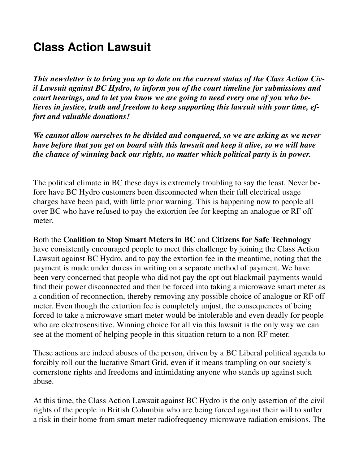## **Class Action Lawsuit**

*This newsletter is to bring you up to date on the current status of the Class Action Civil Lawsuit against BC Hydro, to inform you of the court timeline for submissions and court hearings, and to let you know we are going to need every one of you who believes in justice, truth and freedom to keep supporting this lawsuit with your time, effort and valuable donations!*

*We cannot allow ourselves to be divided and conquered, so we are asking as we never have before that you get on board with this lawsuit and keep it alive, so we will have the chance of winning back our rights, no matter which political party is in power.*

The political climate in BC these days is extremely troubling to say the least. Never before have BC Hydro customers been disconnected when their full electrical usage charges have been paid, with little prior warning. This is happening now to people all over BC who have refused to pay the extortion fee for keeping an analogue or RF off meter.

Both the **Coalition to Stop Smart Meters in BC** and **Citizens for Safe Technology** have consistently encouraged people to meet this challenge by joining the Class Action Lawsuit against BC Hydro, and to pay the extortion fee in the meantime, noting that the payment is made under duress in writing on a separate method of payment. We have been very concerned that people who did not pay the opt out blackmail payments would find their power disconnected and then be forced into taking a microwave smart meter as a condition of reconnection, thereby removing any possible choice of analogue or RF off meter. Even though the extortion fee is completely unjust, the consequences of being forced to take a microwave smart meter would be intolerable and even deadly for people who are electrosensitive. Winning choice for all via this lawsuit is the only way we can see at the moment of helping people in this situation return to a non-RF meter.

These actions are indeed abuses of the person, driven by a BC Liberal political agenda to forcibly roll out the lucrative Smart Grid, even if it means trampling on our society's cornerstone rights and freedoms and intimidating anyone who stands up against such abuse.

At this time, the Class Action Lawsuit against BC Hydro is the only assertion of the civil rights of the people in British Columbia who are being forced against their will to suffer a risk in their home from smart meter radiofrequency microwave radiation emisions. The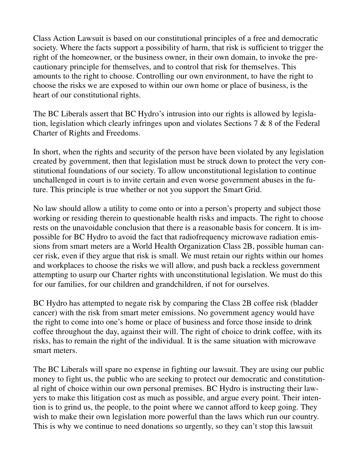Class Action Lawsuit is based on our constitutional principles of a free and democratic society. Where the facts support a possibility of harm, that risk is sufficient to trigger the right of the homeowner, or the business owner, in their own domain, to invoke the precautionary principle for themselves, and to control that risk for themselves. This amounts to the right to choose. Controlling our own environment, to have the right to choose the risks we are exposed to within our own home or place of business, is the heart of our constitutional rights.

The BC Liberals assert that BC Hydro's intrusion into our rights is allowed by legislation, legislation which clearly infringes upon and violates Sections 7 & 8 of the Federal Charter of Rights and Freedoms.

In short, when the rights and security of the person have been violated by any legislation created by government, then that legislation must be struck down to protect the very constitutional foundations of our society. To allow unconstitutional legislation to continue unchallenged in court is to invite certain and even worse government abuses in the future. This principle is true whether or not you support the Smart Grid.

No law should allow a utility to come onto or into a person's property and subject those working or residing therein to questionable health risks and impacts. The right to choose rests on the unavoidable conclusion that there is a reasonable basis for concern. It is impossible for BC Hydro to avoid the fact that radiofrequency microwave radiation emissions from smart meters are a World Health Organization Class 2B, possible human cancer risk, even if they argue that risk is small. We must retain our rights within our homes and workplaces to choose the risks we will allow, and push back a reckless government attempting to usurp our Charter rights with unconstitutional legislation. We must do this for our families, for our children and grandchildren, if not for ourselves.

BC Hydro has attempted to negate risk by comparing the Class 2B coffee risk (bladder cancer) with the risk from smart meter emissions. No government agency would have the right to come into one's home or place of business and force those inside to drink coffee throughout the day, against their will. The right of choice to drink coffee, with its risks, has to remain the right of the individual. It is the same situation with microwave smart meters.

The BC Liberals will spare no expense in fighting our lawsuit. They are using our public money to fight us, the public who are seeking to protect our democratic and constitutional right of choice within our own personal premises. BC Hydro is instructing their lawyers to make this litigation cost as much as possible, and argue every point. Their intention is to grind us, the people, to the point where we cannot afford to keep going. They wish to make their own legislation more powerful than the laws which run our country. This is why we continue to need donations so urgently, so they can't stop this lawsuit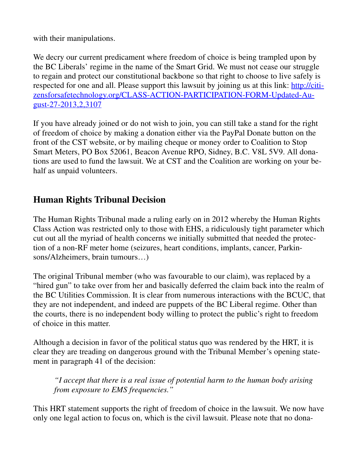with their manipulations.

We decry our current predicament where freedom of choice is being trampled upon by the BC Liberals' regime in the name of the Smart Grid. We must not cease our struggle to regain and protect our constitutional backbone so that right to choose to live safely is respected for one and all. Please support this lawsuit by joining us at this link: http://citizensforsafetechnology.org/CLASS-ACTION-PARTICIPATION-FORM-Updated-August-27-2013,2,3107

If you have already joined or do not wish to join, you can still take a stand for the right of freedom of choice by making a donation either via the PayPal Donate button on the front of the CST website, or by mailing cheque or money order to Coalition to Stop Smart Meters, PO Box 52061, Beacon Avenue RPO, Sidney, B.C. V8L 5V9. All donations are used to fund the lawsuit. We at CST and the Coalition are working on your behalf as unpaid volunteers.

## **Human Rights Tribunal Decision**

The Human Rights Tribunal made a ruling early on in 2012 whereby the Human Rights Class Action was restricted only to those with EHS, a ridiculously tight parameter which cut out all the myriad of health concerns we initially submitted that needed the protection of a non-RF meter home (seizures, heart conditions, implants, cancer, Parkinsons/Alzheimers, brain tumours…)

The original Tribunal member (who was favourable to our claim), was replaced by a "hired gun" to take over from her and basically deferred the claim back into the realm of the BC Utilities Commission. It is clear from numerous interactions with the BCUC, that they are not independent, and indeed are puppets of the BC Liberal regime. Other than the courts, there is no independent body willing to protect the public's right to freedom of choice in this matter.

Although a decision in favor of the political status quo was rendered by the HRT, it is clear they are treading on dangerous ground with the Tribunal Member's opening statement in paragraph 41 of the decision:

*"I accept that there is a real issue of potential harm to the human body arising from exposure to EMS frequencies."*

This HRT statement supports the right of freedom of choice in the lawsuit. We now have only one legal action to focus on, which is the civil lawsuit. Please note that no dona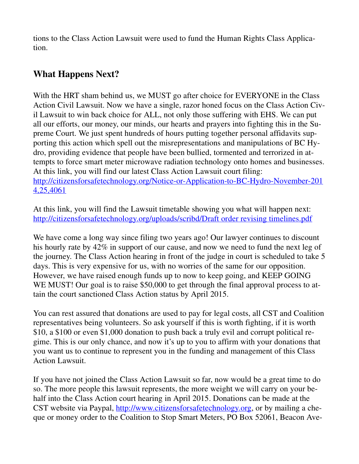tions to the Class Action Lawsuit were used to fund the Human Rights Class Application.

## **What Happens Next?**

With the HRT sham behind us, we MUST go after choice for EVERYONE in the Class Action Civil Lawsuit. Now we have a single, razor honed focus on the Class Action Civil Lawsuit to win back choice for ALL, not only those suffering with EHS. We can put all our efforts, our money, our minds, our hearts and prayers into fighting this in the Supreme Court. We just spent hundreds of hours putting together personal affidavits supporting this action which spell out the misrepresentations and manipulations of BC Hydro, providing evidence that people have been bullied, tormented and terrorized in attempts to force smart meter microwave radiation technology onto homes and businesses. At this link, you will find our latest Class Action Lawsuit court filing: http://citizensforsafetechnology.org/Notice-or-Application-to-BC-Hydro-November-201 4,25,4061

At this link, you will find the Lawsuit timetable showing you what will happen next: http://citizensforsafetechnology.org/uploads/scribd/Draft order revising timelines.pdf

We have come a long way since filing two years ago! Our lawyer continues to discount his hourly rate by 42% in support of our cause, and now we need to fund the next leg of the journey. The Class Action hearing in front of the judge in court is scheduled to take 5 days. This is very expensive for us, with no worries of the same for our opposition. However, we have raised enough funds up to now to keep going, and KEEP GOING WE MUST! Our goal is to raise \$50,000 to get through the final approval process to attain the court sanctioned Class Action status by April 2015.

You can rest assured that donations are used to pay for legal costs, all CST and Coalition representatives being volunteers. So ask yourself if this is worth fighting, if it is worth \$10, a \$100 or even \$1,000 donation to push back a truly evil and corrupt political regime. This is our only chance, and now it's up to you to affirm with your donations that you want us to continue to represent you in the funding and management of this Class Action Lawsuit.

If you have not joined the Class Action Lawsuit so far, now would be a great time to do so. The more people this lawsuit represents, the more weight we will carry on your behalf into the Class Action court hearing in April 2015. Donations can be made at the CST website via Paypal, http://www.citizensforsafetechnology.org, or by mailing a cheque or money order to the Coalition to Stop Smart Meters, PO Box 52061, Beacon Ave